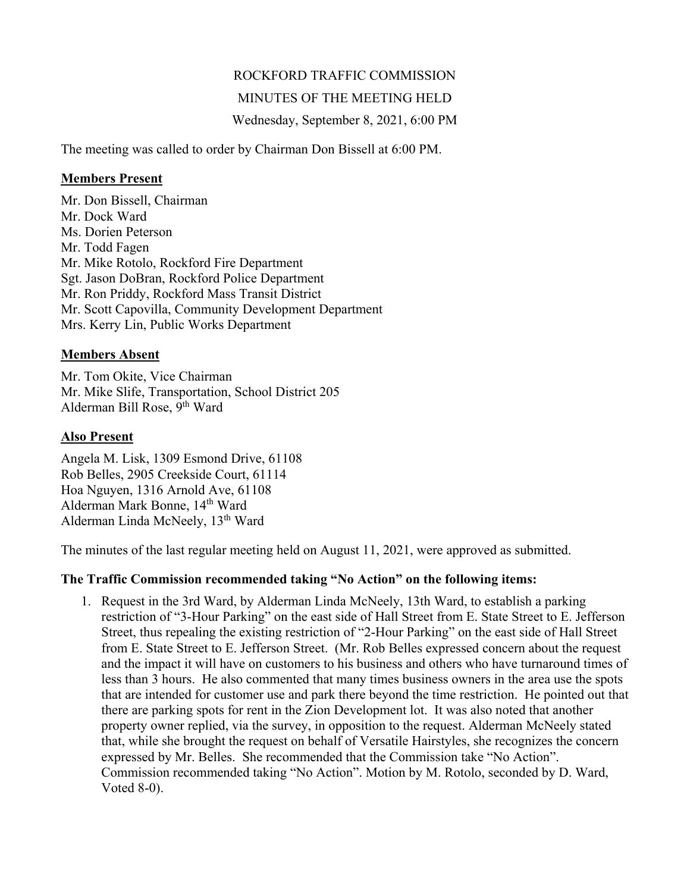# ROCKFORD TRAFFIC COMMISSION

# MINUTES OF THE MEETING HELD

Wednesday, September 8, 2021, 6:00 PM

The meeting was called to order by Chairman Don Bissell at 6:00 PM.

#### **Members Present**

Mr. Don Bissell, Chairman Mr. Dock Ward Ms. Dorien Peterson Mr. Todd Fagen Mr. Mike Rotolo, Rockford Fire Department Sgt. Jason DoBran, Rockford Police Department Mr. Ron Priddy, Rockford Mass Transit District Mr. Scott Capovilla, Community Development Department Mrs. Kerry Lin, Public Works Department

## **Members Absent**

Mr. Tom Okite, Vice Chairman Mr. Mike Slife, Transportation, School District 205 Alderman Bill Rose, 9<sup>th</sup> Ward

### **Also Present**

Angela M. Lisk, 1309 Esmond Drive, 61108 Rob Belles, 2905 Creekside Court, 61114 Hoa Nguyen, 1316 Arnold Ave, 61108 Alderman Mark Bonne, 14th Ward Alderman Linda McNeely, 13<sup>th</sup> Ward

The minutes of the last regular meeting held on August 11, 2021, were approved as submitted.

## **The Traffic Commission recommended taking "No Action" on the following items:**

1. Request in the 3rd Ward, by Alderman Linda McNeely, 13th Ward, to establish a parking restriction of "3-Hour Parking" on the east side of Hall Street from E. State Street to E. Jefferson Street, thus repealing the existing restriction of "2-Hour Parking" on the east side of Hall Street from E. State Street to E. Jefferson Street. (Mr. Rob Belles expressed concern about the request and the impact it will have on customers to his business and others who have turnaround times of less than 3 hours. He also commented that many times business owners in the area use the spots that are intended for customer use and park there beyond the time restriction. He pointed out that there are parking spots for rent in the Zion Development lot. It was also noted that another property owner replied, via the survey, in opposition to the request. Alderman McNeely stated that, while she brought the request on behalf of Versatile Hairstyles, she recognizes the concern expressed by Mr. Belles. She recommended that the Commission take "No Action". Commission recommended taking "No Action". Motion by M. Rotolo, seconded by D. Ward, Voted 8-0).